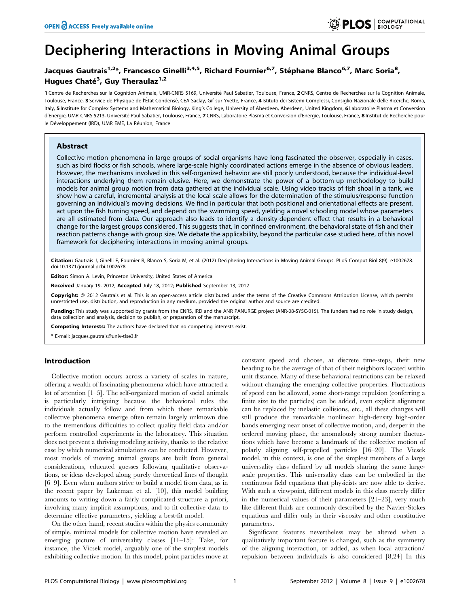# Deciphering Interactions in Moving Animal Groups

## Jacques Gautrais<sup>1,2</sup>\*, Francesco Ginelli<sup>3,4,5</sup>, Richard Fournier<sup>6,7</sup>, Stéphane Blanco<sup>6,7</sup>, Marc Soria<sup>8</sup>, Hugues Chaté<sup>3</sup>, Guy Theraulaz<sup>1,2</sup>

1 Centre de Recherches sur la Cognition Animale, UMR-CNRS 5169, Université Paul Sabatier, Toulouse, France, 2 CNRS, Centre de Recherches sur la Cognition Animale, Toulouse, France, 3 Service de Physique de l'État Condensé, CEA-Saclay, Gif-sur-Yvette, France, 4 Istituto dei Sistemi Complessi, Consiglio Nazionale delle Ricerche, Roma, Italy, 5 Institute for Complex Systems and Mathematical Biology, King's College, University of Aberdeen, Aberdeen, United Kingdom, 6 Laboratoire Plasma et Conversion d'Energie, UMR-CNRS 5213, Université Paul Sabatier, Toulouse, France, 7 CNRS, Laboratoire Plasma et Conversion d'Energie, Toulouse, France, 8 Institut de Recherche pour le Développement (IRD), UMR EME, La Réunion, France

## Abstract

Collective motion phenomena in large groups of social organisms have long fascinated the observer, especially in cases, such as bird flocks or fish schools, where large-scale highly coordinated actions emerge in the absence of obvious leaders. However, the mechanisms involved in this self-organized behavior are still poorly understood, because the individual-level interactions underlying them remain elusive. Here, we demonstrate the power of a bottom-up methodology to build models for animal group motion from data gathered at the individual scale. Using video tracks of fish shoal in a tank, we show how a careful, incremental analysis at the local scale allows for the determination of the stimulus/response function governing an individual's moving decisions. We find in particular that both positional and orientational effects are present, act upon the fish turning speed, and depend on the swimming speed, yielding a novel schooling model whose parameters are all estimated from data. Our approach also leads to identify a density-dependent effect that results in a behavioral change for the largest groups considered. This suggests that, in confined environment, the behavioral state of fish and their reaction patterns change with group size. We debate the applicability, beyond the particular case studied here, of this novel framework for deciphering interactions in moving animal groups.

Citation: Gautrais J, Ginelli F, Fournier R, Blanco S, Soria M, et al. (2012) Deciphering Interactions in Moving Animal Groups. PLoS Comput Biol 8(9): e1002678. doi:10.1371/journal.pcbi.1002678

Editor: Simon A. Levin, Princeton University, United States of America

Received January 19, 2012; Accepted July 18, 2012; Published September 13, 2012

**Copyright:** © 2012 Gautrais et al. This is an open-access article distributed under the terms of the Creative Commons Attribution License, which permits unrestricted use, distribution, and reproduction in any medium, provided the original author and source are credited.

Funding: This study was supported by grants from the CNRS, IRD and the ANR PANURGE project (ANR-08-SYSC-015). The funders had no role in study design, data collection and analysis, decision to publish, or preparation of the manuscript.

Competing Interests: The authors have declared that no competing interests exist.

\* E-mail: jacques.gautrais@univ-tlse3.fr

## Introduction

Collective motion occurs across a variety of scales in nature, offering a wealth of fascinating phenomena which have attracted a lot of attention [1–5]. The self-organized motion of social animals is particularly intriguing because the behavioral rules the individuals actually follow and from which these remarkable collective phenomena emerge often remain largely unknown due to the tremendous difficulties to collect quality field data and/or perform controlled experiments in the laboratory. This situation does not prevent a thriving modeling activity, thanks to the relative ease by which numerical simulations can be conducted. However, most models of moving animal groups are built from general considerations, educated guesses following qualitative observations, or ideas developed along purely theoretical lines of thought [6–9]. Even when authors strive to build a model from data, as in the recent paper by Lukeman et al. [10], this model building amounts to writing down a fairly complicated structure a priori, involving many implicit assumptions, and to fit collective data to determine effective parameters, yielding a best-fit model.

On the other hand, recent studies within the physics community of simple, minimal models for collective motion have revealed an emerging picture of universality classes [11–15]: Take, for instance, the Vicsek model, arguably one of the simplest models exhibiting collective motion. In this model, point particles move at constant speed and choose, at discrete time-steps, their new heading to be the average of that of their neighbors located within unit distance. Many of these behavioral restrictions can be relaxed without changing the emerging collective properties. Fluctuations of speed can be allowed, some short-range repulsion (conferring a finite size to the particles) can be added, even explicit alignment can be replaced by inelastic collisions, etc., all these changes will still produce the remarkable nonlinear high-density high-order bands emerging near onset of collective motion, and, deeper in the ordered moving phase, the anomalously strong number fluctuations which have become a landmark of the collective motion of polarly aligning self-propelled particles [16–20]. The Vicsek model, in this context, is one of the simplest members of a large universality class defined by all models sharing the same largescale properties. This universality class can be embodied in the continuous field equations that physicists are now able to derive. With such a viewpoint, different models in this class merely differ in the numerical values of their parameters [21–23], very much like different fluids are commonly described by the Navier-Stokes equations and differ only in their viscosity and other constitutive parameters.

Significant features nevertheless may be altered when a qualitatively important feature is changed, such as the symmetry of the aligning interaction, or added, as when local attraction/ repulsion between individuals is also considered [8,24] In this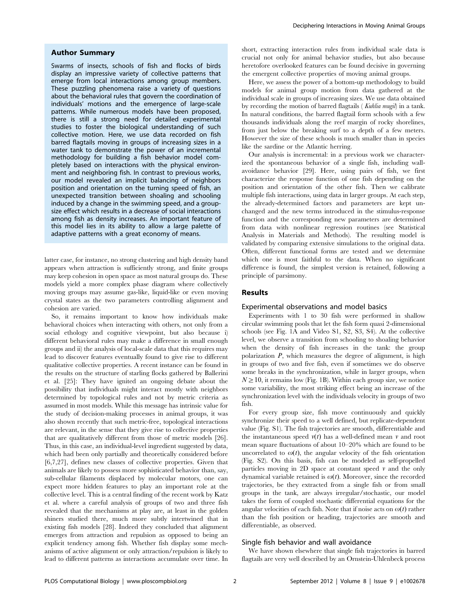## Author Summary

Swarms of insects, schools of fish and flocks of birds display an impressive variety of collective patterns that emerge from local interactions among group members. These puzzling phenomena raise a variety of questions about the behavioral rules that govern the coordination of individuals' motions and the emergence of large-scale patterns. While numerous models have been proposed, there is still a strong need for detailed experimental studies to foster the biological understanding of such collective motion. Here, we use data recorded on fish barred flagtails moving in groups of increasing sizes in a water tank to demonstrate the power of an incremental methodology for building a fish behavior model completely based on interactions with the physical environment and neighboring fish. In contrast to previous works, our model revealed an implicit balancing of neighbors position and orientation on the turning speed of fish, an unexpected transition between shoaling and schooling induced by a change in the swimming speed, and a groupsize effect which results in a decrease of social interactions among fish as density increases. An important feature of this model lies in its ability to allow a large palette of adaptive patterns with a great economy of means.

latter case, for instance, no strong clustering and high density band appears when attraction is sufficiently strong, and finite groups may keep cohesion in open space as most natural groups do. These models yield a more complex phase diagram where collectively moving groups may assume gas-like, liquid-like or even moving crystal states as the two parameters controlling alignment and cohesion are varied.

So, it remains important to know how individuals make behavioral choices when interacting with others, not only from a social ethology and cognitive viewpoint, but also because i) different behavioral rules may make a difference in small enough groups and ii) the analysis of local-scale data that this requires may lead to discover features eventually found to give rise to different qualitative collective properties. A recent instance can be found in the results on the structure of starling flocks gathered by Ballerini et al. [25]: They have ignited an ongoing debate about the possibility that individuals might interact mostly with neighbors determined by topological rules and not by metric criteria as assumed in most models. While this message has intrinsic value for the study of decision-making processes in animal groups, it was also shown recently that such metric-free, topological interactions are relevant, in the sense that they give rise to collective properties that are qualitatively different from those of metric models [26]. Thus, in this case, an individual-level ingredient suggested by data, which had been only partially and theoretically considered before [6,7,27], defines new classes of collective properties. Given that animals are likely to possess more sophisticated behavior than, say, sub-cellular filaments displaced by molecular motors, one can expect more hidden features to play an important role at the collective level. This is a central finding of the recent work by Katz et al. where a careful analysis of groups of two and three fish revealed that the mechanisms at play are, at least in the golden shiners studied there, much more subtly intertwined that in existing fish models [28]. Indeed they concluded that alignment emerges from attraction and repulsion as opposed to being an explicit tendency among fish. Whether fish display some mechanisms of active alignment or only attraction/repulsion is likely to lead to different patterns as interactions accumulate over time. In short, extracting interaction rules from individual scale data is crucial not only for animal behavior studies, but also because heretofore overlooked features can be found decisive in governing the emergent collective properties of moving animal groups.

Here, we assess the power of a bottom-up methodology to build models for animal group motion from data gathered at the individual scale in groups of increasing sizes. We use data obtained by recording the motion of barred flagtails ( Kuhlia mugil) in a tank. In natural conditions, the barred flagtail form schools with a few thousands individuals along the reef margin of rocky shorelines, from just below the breaking surf to a depth of a few meters. However the size of these schools is much smaller than in species like the sardine or the Atlantic herring.

Our analysis is incremental: in a previous work we characterized the spontaneous behavior of a single fish, including wallavoidance behavior [29]. Here, using pairs of fish, we first characterize the response function of one fish depending on the position and orientation of the other fish. Then we calibrate multiple fish interactions, using data in larger groups. At each step, the already-determined factors and parameters are kept unchanged and the new terms introduced in the stimulus-response function and the corresponding new parameters are determined from data with nonlinear regression routines (see Statistical Analysis in Materials and Methods). The resulting model is validated by comparing extensive simulations to the original data. Often, different functional forms are tested and we determine which one is most faithful to the data. When no significant difference is found, the simplest version is retained, following a principle of parsimony.

#### Results

#### Experimental observations and model basics

Experiments with 1 to 30 fish were performed in shallow circular swimming pools that let the fish form quasi 2-dimensional schools (see Fig. 1A and Video S1, S2, S3, S4). At the collective level, we observe a transition from schooling to shoaling behavior when the density of fish increases in the tank: the group polarization  $P$ , which measures the degree of alignment, is high in groups of two and five fish, even if sometimes we do observe some breaks in the synchronization, while in larger groups, when  $N \geq 10$ , it remains low (Fig. 1B). Within each group size, we notice some variability, the most striking effect being an increase of the synchronization level with the individuals velocity in groups of two fish.

For every group size, fish move continuously and quickly synchronize their speed to a well defined, but replicate-dependent value (Fig. S1). The fish trajectories are smooth, differentiable and the instantaneous speed  $v(t)$  has a well-defined mean v and root mean square fluctuations of about 10–20% which are found to be uncorrelated to  $\omega(t)$ , the angular velocity of the fish orientation (Fig. S2). On this basis, fish can be modeled as self-propelled particles moving in  $2D$  space at constant speed  $\nu$  and the only dynamical variable retained is  $\omega(t)$ . Moreover, since the recorded trajectories, be they extracted from a single fish or from small groups in the tank, are always irregular/stochastic, our model takes the form of coupled stochastic differential equations for the angular velocities of each fish. Note that if noise acts on  $\omega(t)$  rather than the fish position or heading, trajectories are smooth and differentiable, as observed.

#### Single fish behavior and wall avoidance

We have shown elsewhere that single fish trajectories in barred flagtails are very well described by an Ornstein-Uhlenbeck process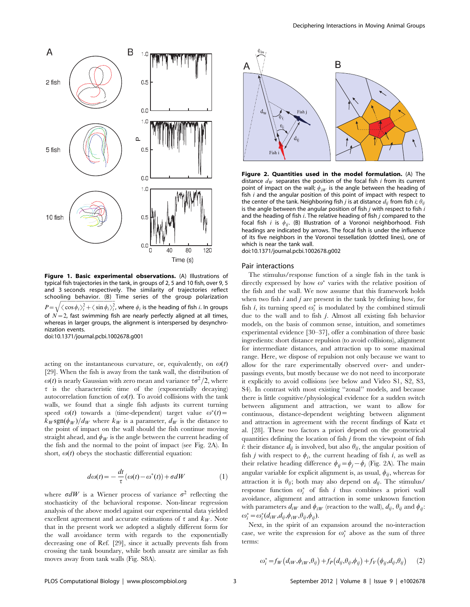

Figure 1. Basic experimental observations. (A) Illustrations of typical fish trajectories in the tank, in groups of 2, 5 and 10 fish, over 9, 5 and 3 seconds respectively. The similarity of trajectories reflect schooling behavior. (B) Time series of the group polarization  $P\!=\!\sqrt{\left<\,\cos{\phi_i}\right>^2_i+\left<\,\sin{\phi_i}\right>^2_i}$  , where  $\phi_i$  is the heading of fish  $i.$  In groups of  $N=2$ , fast swimming fish are nearly perfectly aligned at all times, whereas in larger groups, the alignment is interspersed by desynchronization events.

doi:10.1371/journal.pcbi.1002678.g001

acting on the instantaneous curvature, or, equivalently, on  $\omega(t)$ [29]. When the fish is away from the tank wall, the distribution of  $\omega(t)$  is nearly Gaussian with zero mean and variance  $\tau\sigma^2/2$ , where  $\tau$  is the characteristic time of the (exponentially decaying) autocorrelation function of  $\omega(t)$ . To avoid collisions with the tank walls, we found that a single fish adjusts its current turning speed  $\omega(t)$  towards a (time-dependent) target value  $\omega^*(t)$  =  $k_W \text{sgn}(\phi_W)/d_W$  where  $k_W$  is a parameter,  $d_W$  is the distance to the point of impact on the wall should the fish continue moving straight ahead, and  $\phi_W$  is the angle between the current heading of the fish and the normal to the point of impact (see Fig. 2A). In short,  $\omega(t)$  obeys the stochastic differential equation:

$$
d\omega(t) = -\frac{dt}{\tau}(\omega(t) - \omega^*(t)) + \sigma dW \tag{1}
$$

where  $\sigma dW$  is a Wiener process of variance  $\sigma^2$  reflecting the stochasticity of the behavioral response. Non-linear regression analysis of the above model against our experimental data yielded excellent agreement and accurate estimations of  $\tau$  and  $k_W$ . Note that in the present work we adopted a slightly different form for the wall avoidance term with regards to the exponentially decreasing one of Ref. [29], since it actually prevents fish from crossing the tank boundary, while both ansatz are similar as fish moves away from tank walls (Fig. S8A).



Figure 2. Quantities used in the model formulation. (A) The distance  $d_W$  separates the position of the focal fish i from its current point of impact on the wall;  $\phi_{iW}$  is the angle between the heading of fish  $i$  and the angular position of this point of impact with respect to the center of the tank. Neighboring fish *j* is at distance  $d_{ij}$  from fish *i*;  $\theta_{ij}$ is the angle between the angular position of fish  $i$  with respect to fish  $i$ and the heading of fish  $i$ . The relative heading of fish  $j$  compared to the focal fish *i* is  $\phi_{ij}$ . (B) Illustration of a Voronoi neighborhood. Fish headings are indicated by arrows. The focal fish is under the influence of its five neighbors in the Voronoi tessellation (dotted lines), one of which is near the tank wall.

## doi:10.1371/journal.pcbi.1002678.g002

#### Pair interactions

The stimulus/response function of a single fish in the tank is directly expressed by how  $\omega^*$  varies with the relative position of the fish and the wall. We now assume that this framework holds when two fish  $i$  and  $j$  are present in the tank by defining how, for fish *i*, its turning speed  $\omega_i^*$  is modulated by the combined stimuli due to the wall and to fish j. Almost all existing fish behavior models, on the basis of common sense, intuition, and sometimes experimental evidence [30–37], offer a combination of three basic ingredients: short distance repulsion (to avoid collisions), alignment for intermediate distances, and attraction up to some maximal range. Here, we dispose of repulsion not only because we want to allow for the rare experimentally observed over- and underpassings events, but mostly because we do not need to incorporate it explicitly to avoid collisions (see below and Video S1, S2, S3, S4). In contrast with most existing ''zonal'' models, and because there is little cognitive/physiological evidence for a sudden switch between alignment and attraction, we want to allow for continuous, distance-dependent weighting between alignment and attraction in agreement with the recent findings of Katz et al. [28]. These two factors a priori depend on the geometrical quantities defining the location of fish  $j$  from the viewpoint of fish i: their distance  $d_{ij}$  is involved, but also  $\theta_{ij}$ , the angular position of fish j with respect to  $\phi_i$ , the current heading of fish i, as well as their relative heading difference  $\phi_{ij} = \phi_j - \phi_i$  (Fig. 2A). The main angular variable for explicit alignment is, as usual,  $\phi_{ii}$ , whereas for attraction it is  $\theta_{ij}$ ; both may also depend on  $d_{ij}$ . The stimulus/ response function  $\omega_i^*$  of fish i thus combines a priori wall avoidance, alignment and attraction in some unknown function with parameters  $d_{iW}$  and  $\phi_{iW}$  (reaction to the wall),  $d_{ii}$ ,  $\theta_{ii}$  and  $\phi_{ii}$ :  $\omega_i^* = \omega_i^*(d_{iW}, d_{ij}, \phi_{iW}, \theta_{ij}, \phi_{ij}).$ 

Next, in the spirit of an expansion around the no-interaction case, we write the expression for  $\omega_i^*$  above as the sum of three terms:

$$
\omega_i^* = f_W(d_{iW}, \phi_{iW}, \theta_{ij}) + f_P(d_{ij}, \theta_{ij}, \phi_{ij}) + f_V(\phi_{ij}, d_{ij}, \theta_{ij})
$$
 (2)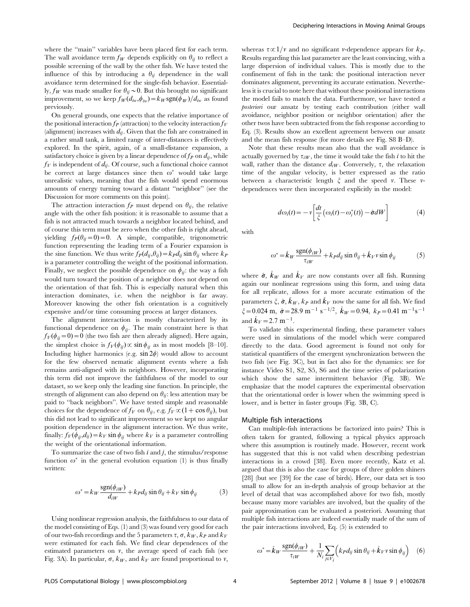where the ''main'' variables have been placed first for each term. The wall avoidance term  $f_W$  depends explicitly on  $\theta_{ij}$  to reflect a possible screening of the wall by the other fish. We have tested the influence of this by introducing a  $\theta_{ii}$  dependence in the wall avoidance term determined for the single-fish behavior. Essentially,  $f_W$  was made smaller for  $\theta_{ii} \sim 0$ . But this brought no significant improvement, so we keep  $f_W(d_{iw}, \phi_{iw}) = k_W \text{sgn}(\phi_W) / d_{iw}$  as found previously.

On general grounds, one expects that the relative importance of the positional interaction  $f_P$  (attraction) to the velocity interaction  $f_V$ (alignment) increases with  $d_{ii}$ . Given that the fish are constrained in a rather small tank, a limited range of inter-distances is effectively explored. In the spirit, again, of a small-distance expansion, a satisfactory choice is given by a linear dependence of  $f_P$  on  $d_{ii}$ , while  $f_V$  is independent of  $d_{ij}$ . Of course, such a functional choice cannot be correct at large distances since then  $\omega^*$  would take large unrealistic values, meaning that the fish would spend enormous amounts of energy turning toward a distant ''neighbor'' (see the Discussion for more comments on this point).

The attraction interaction  $f_P$  must depend on  $\theta_{ij}$ , the relative angle with the other fish position: it is reasonable to assume that a fish is not attracted much towards a neighbor located behind, and of course this term must be zero when the other fish is right ahead, yielding  $f_P(\theta_{ij}=0)=0$ . A simple, compatible, trigonometric function representing the leading term of a Fourier expansion is the sine function. We thus write  $f_P(d_{ij},\theta_{ij})=k_Pd_{ij}$  sin  $\theta_{ij}$  where  $k_P$ is a parameter controlling the weight of the positional information. Finally, we neglect the possible dependence on  $\phi_{ii}$ : the way a fish would turn toward the position of a neighbor does not depend on the orientation of that fish. This is especially natural when this interaction dominates, i.e. when the neighbor is far away. Moreover knowing the other fish orientation is a cognitively expensive and/or time consuming process at larger distances.

The alignment interaction is mostly characterized by its functional dependence on  $\phi_{ij}$ . The main constraint here is that  $f_V(\phi_{ij}=0)=0$  (the two fish are then already aligned). Here again, the simplest choice is  $f_V(\phi_{ii}) \propto \sin \phi_{ii}$  as in most models [8–10]. Including higher harmonics (e.g.  $\sin 2\phi$ ) would allow to account for the few observed nematic alignment events where a fish remains anti-aligned with its neighbors. However, incorporating this term did not improve the faithfulness of the model to our dataset, so we keep only the leading sine function. In principle, the strength of alignment can also depend on  $\theta_{ij}$ : less attention may be paid to ''back neighbors''. We have tested simple and reasonable choices for the dependence of  $f_V$  on  $\theta_{ij}$ , e.g.  $f_V \propto (1+\cos \theta_{ij})$ , but this did not lead to significant improvement so we kept no angular position dependence in the alignment interaction. We thus write, finally:  $f_V(\phi_{ii}, d_{ii}) = k_V \sin \phi_{ii}$  where  $k_V$  is a parameter controlling the weight of the orientational information.

To summarize the case of two fish  $i$  and  $j$ , the stimulus/response function  $\omega^*$  in the general evolution equation (1) is thus finally written:

$$
\omega^* = k_W \frac{\text{sgn}(\phi_{iW})}{d_{iW}} + k_P d_{ij} \sin \theta_{ij} + k_V \sin \phi_{ij}
$$
 (3)

Using nonlinear regression analysis, the faithfulness to our data of the model consisting of Eqs. (1) and (3) was found very good for each of our two-fish recordings and the 5 parameters  $\tau$ ,  $\sigma$ ,  $k_W$ ,  $k_P$  and  $k_V$ were estimated for each fish. We find clear dependences of the estimated parameters on v, the average speed of each fish (see Fig. 3A). In particular,  $\sigma$ ,  $k_W$ , and  $k_V$  are found proportional to v,

whereas  $\tau \propto 1/v$  and no significant v-dependence appears for  $k_P$ . Results regarding this last parameter are the least convincing, with a large dispersion of individual values. This is mostly due to the confinement of fish in the tank: the positional interaction never dominates alignment, preventing its accurate estimation. Nevertheless it is crucial to note here that without these positional interactions the model fails to match the data. Furthermore, we have tested a posteriori our ansatz by testing each contribution (either wall avoidance, neighbor position or neighbor orientation) after the other twos have been subtracted from the fish response according to Eq. (3). Results show an excellent agreement between our ansatz and the mean fish response (for more details see Fig. S8 B–D).

Note that these results mean also that the wall avoidance is actually governed by  $\tau_{iW}$ , the time it would take the fish i to hit the wall, rather than the distance  $d_{iW}$ . Conversely,  $\tau$ , the relaxation time of the angular velocity, is better expressed as the ratio between a characteristic length  $\xi$  and the speed v. These vdependences were then incorporated explicitly in the model:

$$
d\omega_i(t) = -v \left[ \frac{dt}{\xi} \left( \omega_i(t) - \omega_i^*(t) \right) - \hat{\sigma} dW \right]
$$
 (4)

with

$$
\omega^* = \hat{k}_W \frac{\text{sgn}(\phi_{iW})}{\tau_{iW}} + k_P d_{ij} \sin \theta_{ij} + \hat{k}_V v \sin \phi_{ij}
$$
(5)

where  $\hat{\sigma}$ ,  $\hat{k}_W$  and  $\hat{k}_V$  are now constants over all fish. Running again our nonlinear regressions using this form, and using data for all replicate, allows for a more accurate estimation of the parameters  $\xi,  $\hat{\pmb{\sigma}}, \hat{\pmb{k}}_W, k_P$  and  $\hat{\pmb{k}}_V$  now the same for all fish. We find$  $\xi$ =0.024 m,  $\hat{\sigma}$ =28.9 m<sup>-1</sup> s<sup>-1/2</sup>,  $\hat{k}_W$ =0.94,  $k_P$ =0.41 m<sup>-1</sup>s<sup>-1</sup> and  $\hat{k}_V = 2.7 \text{ m}^{-1}$ .

To validate this experimental finding, these parameter values were used in simulations of the model which were compared directly to the data. Good agreement is found not only for statistical quantifiers of the emergent synchronization between the two fish (see Fig. 3C), but in fact also for the dynamics: see for instance Video S1, S2, S5, S6 and the time series of polarization which show the same intermittent behavior (Fig. 3B). We emphasize that the model captures the experimental observation that the orientational order is lower when the swimming speed is lower, and is better in faster groups (Fig. 3B, C).

#### Multiple fish interactions

Can multiple-fish interactions be factorized into pairs? This is often taken for granted, following a typical physics approach where this assumption is routinely made. However, recent work has suggested that this is not valid when describing pedestrian interactions in a crowd [38]. Even more recently, Katz et al. argued that this is also the case for groups of three golden shiners [28] (but see [39] for the case of birds). Here, our data set is too small to allow for an in-depth analysis of group behavior at the level of detail that was accomplished above for two fish, mostly because many more variables are involved, but the quality of the pair approximation can be evaluated a posteriori. Assuming that multiple fish interactions are indeed essentially made of the sum of the pair interactions involved, Eq. (5) is extended to

$$
\omega^* = \hat{k}_W \frac{\text{sgn}(\phi_{iW})}{\tau_{iW}} + \frac{1}{N_i} \sum_{j \in V_i} \left( k_P d_{ij} \sin \theta_{ij} + \hat{k}_V v \sin \phi_{ij} \right) \quad (6)
$$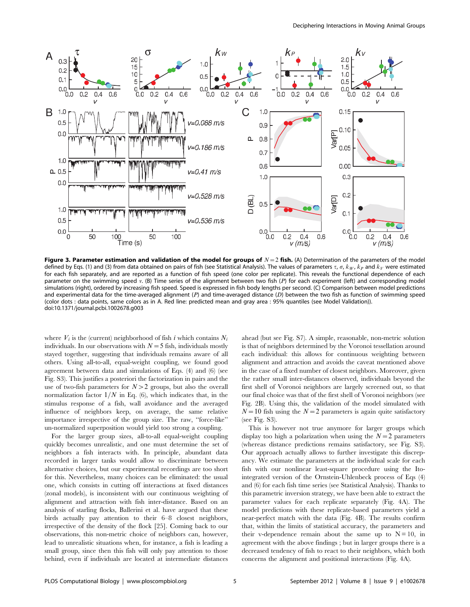

Figure 3. Parameter estimation and validation of the model for groups of  $N=2$  fish. (A) Determination of the parameters of the model defined by Eqs. (1) and (3) from data obtained on pairs of fish (see Statistical Analysis). The values of parameters  $\tau$ ,  $\sigma$ ,  $k_W$ ,  $k_P$  and  $k_V$  were estimated for each fish separately, and are reported as a function of fish speed (one color per replicate). This reveals the functional dependence of each parameter on the swimming speed v. (B) Time series of the alignment between two fish (P) for each experiment (left) and corresponding model simulations (right), ordered by increasing fish speed. Speed is expressed in fish body lengths per second. (C) Comparison between model predictions and experimental data for the time-averaged alignment  $(P)$  and time-averaged distance  $(D)$  between the two fish as function of swimming speed (color dots : data points, same colors as in A. Red line: predicted mean and gray area : 95% quantiles (see Model Validation)). doi:10.1371/journal.pcbi.1002678.g003

where  $V_i$  is the (current) neighborhood of fish i which contains  $N_i$ individuals. In our observations with  $N=5$  fish, individuals mostly stayed together, suggesting that individuals remains aware of all others. Using all-to-all, equal-weight coupling, we found good agreement between data and simulations of Eqs. (4) and (6) (see Fig. S3). This justifies a posteriori the factorization in pairs and the use of two-fish parameters for  $N>2$  groups, but also the overall normalization factor  $1/N$  in Eq. (6), which indicates that, in the stimulus response of a fish, wall avoidance and the averaged influence of neighbors keep, on average, the same relative importance irrespective of the group size. The raw, ''force-like'' un-normalized superposition would yield too strong a coupling.

For the larger group sizes, all-to-all equal-weight coupling quickly becomes unrealistic, and one must determine the set of neighbors a fish interacts with. In principle, abundant data recorded in larger tanks would allow to discriminate between alternative choices, but our experimental recordings are too short for this. Nevertheless, many choices can be eliminated: the usual one, which consists in cutting off interactions at fixed distances (zonal models), is inconsistent with our continuous weighting of alignment and attraction with fish inter-distance. Based on an analysis of starling flocks, Ballerini et al. have argued that these birds actually pay attention to their 6–8 closest neighbors, irrespective of the density of the flock [25]. Coming back to our observations, this non-metric choice of neighbors can, however, lead to unrealistic situations when, for instance, a fish is leading a small group, since then this fish will only pay attention to those behind, even if individuals are located at intermediate distances ahead (but see Fig. S7). A simple, reasonable, non-metric solution is that of neighbors determined by the Voronoi tessellation around each individual: this allows for continuous weighting between alignment and attraction and avoids the caveat mentioned above in the case of a fixed number of closest neighbors. Moreover, given the rather small inter-distances observed, individuals beyond the first shell of Voronoi neighbors are largely screened out, so that our final choice was that of the first shell of Voronoi neighbors (see Fig. 2B). Using this, the validation of the model simulated with  $N=10$  fish using the  $N=2$  parameters is again quite satisfactory (see Fig. S3).

This is however not true anymore for larger groups which display too high a polarization when using the  $N=2$  parameters (whereas distance predictions remains satisfactory, see Fig. S3). Our approach actually allows to further investigate this discrepancy. We estimate the parameters at the individual scale for each fish with our nonlinear least-square procedure using the Itointegrated version of the Ornstein-Uhlenbeck process of Eqs (4) and (6) for each fish time series (see Statistical Analysis). Thanks to this parametric inversion strategy, we have been able to extract the parameter values for each replicate separately (Fig. 4A). The model predictions with these replicate-based parameters yield a near-perfect match with the data (Fig. 4B). The results confirm that, within the limits of statistical accuracy, the parameters and their v-dependence remain about the same up to  $N = 10$ , in agreement with the above findings ; but in larger groups there is a decreased tendency of fish to react to their neighbors, which both concerns the alignment and positional interactions (Fig. 4A).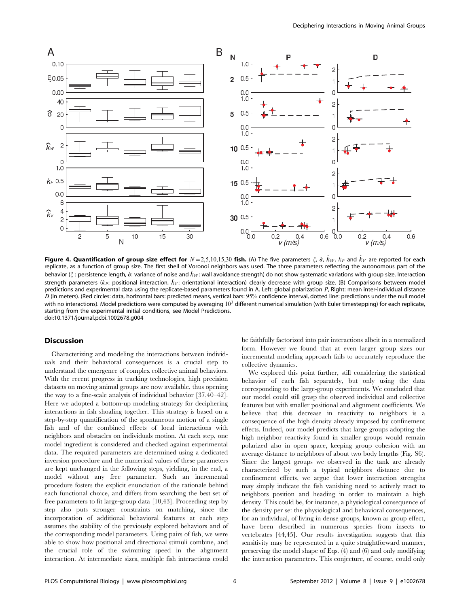

**Figure 4. Quantification of group size effect for**  $N=2,5,10,15,30$  fish. (A) The five parameters  $\xi$ ,  $\hat{\sigma}$ ,  $\hat{k}_W$ ,  $k_P$  and  $\hat{k}_V$  are reported for each replicate, as a function of group size. The first shell of Voronoi neighbors was used. The three parameters reflecting the autonomous part of the behavior ( $\zeta$  : persistence length,  $\hat{\sigma}$ : variance of noise and  $\hat{k}_W$ : wall avoidance strength) do not show systematic variations with group size. Interaction strength parameters (k<sub>P</sub>: positional interaction,  $\hat{k}_V$ : orientational interaction) clearly decrease with group size. (B) Comparisons between model predictions and experimental data using the replicate-based parameters found in A. Left: global polarization P, Right: mean inter-individual distance  $D$  (in meters). (Red circles: data, horizontal bars: predicted means, vertical bars: 95% confidence interval, dotted line: predictions under the null model with no interactions). Model predictions were computed by averaging  $10<sup>3</sup>$  different numerical simulation (with Euler timestepping) for each replicate, starting from the experimental initial conditions, see Model Predictions. doi:10.1371/journal.pcbi.1002678.g004

#### **Discussion**

Characterizing and modeling the interactions between individuals and their behavioral consequences is a crucial step to understand the emergence of complex collective animal behaviors. With the recent progress in tracking technologies, high precision datasets on moving animal groups are now available, thus opening the way to a fine-scale analysis of individual behavior [37,40–42]. Here we adopted a bottom-up modeling strategy for deciphering interactions in fish shoaling together. This strategy is based on a step-by-step quantification of the spontaneous motion of a single fish and of the combined effects of local interactions with neighbors and obstacles on individuals motion. At each step, one model ingredient is considered and checked against experimental data. The required parameters are determined using a dedicated inversion procedure and the numerical values of these parameters are kept unchanged in the following steps, yielding, in the end, a model without any free parameter. Such an incremental procedure fosters the explicit enunciation of the rationale behind each functional choice, and differs from searching the best set of free parameters to fit large-group data [10,43]. Proceeding step by step also puts stronger constraints on matching, since the incorporation of additional behavioral features at each step assumes the stability of the previously explored behaviors and of the corresponding model parameters. Using pairs of fish, we were able to show how positional and directional stimuli combine, and the crucial role of the swimming speed in the alignment interaction. At intermediate sizes, multiple fish interactions could be faithfully factorized into pair interactions albeit in a normalized form. However we found that at even larger group sizes our incremental modeling approach fails to accurately reproduce the collective dynamics.

We explored this point further, still considering the statistical behavior of each fish separately, but only using the data corresponding to the large-group experiments. We concluded that our model could still grasp the observed individual and collective features but with smaller positional and alignment coefficients. We believe that this decrease in reactivity to neighbors is a consequence of the high density already imposed by confinement effects. Indeed, our model predicts that large groups adopting the high neighbor reactivity found in smaller groups would remain polarized also in open space, keeping group cohesion with an average distance to neighbors of about two body lengths (Fig. S6). Since the largest groups we observed in the tank are already characterized by such a typical neighbors distance due to confinement effects, we argue that lower interaction strengths may simply indicate the fish vanishing need to actively react to neighbors position and heading in order to maintain a high density. This could be, for instance, a physiological consequence of the density per se: the physiological and behavioral consequences, for an individual, of living in dense groups, known as group effect, have been described in numerous species from insects to vertebrates [44,45]. Our results investigation suggests that this sensitivity may be represented in a quite straightforward manner, preserving the model shape of Eqs. (4) and (6) and only modifying the interaction parameters. This conjecture, of course, could only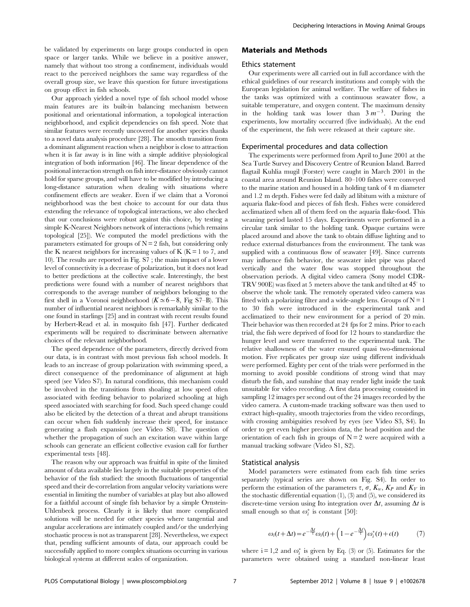be validated by experiments on large groups conducted in open space or larger tanks. While we believe in a positive answer, namely that without too strong a confinement, individuals would react to the perceived neighbors the same way regardless of the overall group size, we leave this question for future investigations on group effect in fish schools.

Our approach yielded a novel type of fish school model whose main features are its built-in balancing mechanism between positional and orientational information, a topological interaction neighborhood, and explicit dependencies on fish speed. Note that similar features were recently uncovered for another species thanks to a novel data analysis procedure [28]. The smooth transition from a dominant alignment reaction when a neighbor is close to attraction when it is far away is in line with a simple additive physiological integration of both information [46]. The linear dependence of the positional interaction strength on fish inter-distance obviously cannot hold for sparse groups, and will have to be modified by introducing a long-distance saturation when dealing with situations where confinement effects are weaker. Even if we claim that a Voronoi neighborhood was the best choice to account for our data thus extending the relevance of topological interactions, we also checked that our conclusions were robust against this choice, by testing a simple K-Nearest Neighbors network of interactions (which remains topological [25]). We computed the model predictions with the parameters estimated for groups of  $N = 2$  fish, but considering only the K nearest neighbors for increasing values of K  $(K = 1)$  to 7, and 10). The results are reported in Fig. S7 ; the main impact of a lower level of connectivity is a decrease of polarization, but it does not lead to better predictions at the collective scale. Interestingly, the best predictions were found with a number of nearest neighbors that corresponds to the average number of neighbors belonging to the first shell in a Voronoi neighborhood ( $K\simeq6-8$ , Fig S7–B). This number of influential nearest neighbors is remarkably similar to the one found in starlings [25] and in contrast with recent results found by Herbert-Read et al. in mosquito fish [47]. Further dedicated experiments will be required to discriminate between alternative choices of the relevant neighborhood.

The speed dependence of the parameters, directly derived from our data, is in contrast with most previous fish school models. It leads to an increase of group polarization with swimming speed, a direct consequence of the predominance of alignment at high speed (see Video S7). In natural conditions, this mechanism could be involved in the transitions from shoaling at low speed often associated with feeding behavior to polarized schooling at high speed associated with searching for food. Such speed change could also be elicited by the detection of a threat and abrupt transitions can occur when fish suddenly increase their speed, for instance generating a flash expansion (see Video S8). The question of whether the propagation of such an excitation wave within large schools can generate an efficient collective evasion call for further experimental tests [48].

The reason why our approach was fruitful in spite of the limited amount of data available lies largely in the suitable properties of the behavior of the fish studied: the smooth fluctuations of tangential speed and their de-correlation from angular velocity variations were essential in limiting the number of variables at play but also allowed for a faithful account of single fish behavior by a simple Ornstein-Uhlenbeck process. Clearly it is likely that more complicated solutions will be needed for other species where tangential and angular accelerations are intimately coupled and/or the underlying stochastic process is not as transparent [28]. Nevertheless, we expect that, pending sufficient amounts of data, our approach could be successfully applied to more complex situations occurring in various biological systems at different scales of organization.

## Materials and Methods

#### Ethics statement

Our experiments were all carried out in full accordance with the ethical guidelines of our research institutions and comply with the European legislation for animal welfare. The welfare of fishes in the tanks was optimized with a continuous seawater flow, a suitable temperature, and oxygen content. The maximum density in the holding tank was lower than  $3 m<sup>-3</sup>$ . During the experiments, low mortality occurred (five individuals). At the end of the experiment, the fish were released at their capture site.

#### Experimental procedures and data collection

The experiments were performed from April to June 2001 at the Sea Turtle Survey and Discovery Centre of Reunion Island. Barred flagtail Kuhlia mugil (Forster) were caught in March 2001 in the coastal area around Reunion Island. 80–100 fishes were conveyed to the marine station and housed in a holding tank of 4 m diameter and 1.2 m depth. Fishes were fed daily ad libitum with a mixture of aquaria flake-food and pieces of fish flesh. Fishes were considered acclimatized when all of them feed on the aquaria flake-food. This weaning period lasted 15 days. Experiments were performed in a circular tank similar to the holding tank. Opaque curtains were placed around and above the tank to obtain diffuse lighting and to reduce external disturbances from the environment. The tank was supplied with a continuous flow of seawater [49]. Since currents may influence fish behavior, the seawater inlet pipe was placed vertically and the water flow was stopped throughout the observation periods. A digital video camera (Sony model CDR-TRV 900E) was fixed at 5 meters above the tank and tilted at  $45^{\circ}$  to observe the whole tank. The remotely operated video camera was fitted with a polarizing filter and a wide-angle lens. Groups of  $N = 1$ to 30 fish were introduced in the experimental tank and acclimatized to their new environment for a period of 20 min. Their behavior was then recorded at 24 fps for 2 mins. Prior to each trial, the fish were deprived of food for 12 hours to standardize the hunger level and were transferred to the experimental tank. The relative shallowness of the water ensured quasi two-dimensional motion. Five replicates per group size using different individuals were performed. Eighty per cent of the trials were performed in the morning to avoid possible conditions of strong wind that may disturb the fish, and sunshine that may render light inside the tank unsuitable for video recording. A first data processing consisted in sampling 12 images per second out of the 24 images recorded by the video camera. A custom-made tracking software was then used to extract high-quality, smooth trajectories from the video recordings, with crossing ambiguities resolved by eyes (see Video S3, S4). In order to get even higher precision data, the head position and the orientation of each fish in groups of  $N = 2$  were acquired with a manual tracking software (Video S1, S2).

## Statistical analysis

Model parameters were estimated from each fish time series separately (typical series are shown on Fig. S4). In order to perform the estimation of the parameters  $\tau$ ,  $\sigma$ ,  $K_w$ ,  $K_P$  and  $K_V$  in the stochastic differential equation  $(1)$ ,  $(3)$  and  $(5)$ , we considered its discrete-time version using Ito integration over  $\Delta t$ , assuming  $\Delta t$  is small enough so that  $\omega_i^*$  is constant [50]:

$$
\omega_i(t + \Delta t) = e^{-\frac{\Delta t}{\tau}} \omega_i(t) + \left(1 - e^{-\frac{\Delta t}{\tau}}\right) \omega_i^*(t) + \epsilon(t) \tag{7}
$$

where  $i = 1,2$  and  $\omega_i^*$  is given by Eq. (3) or (5). Estimates for the parameters were obtained using a standard non-linear least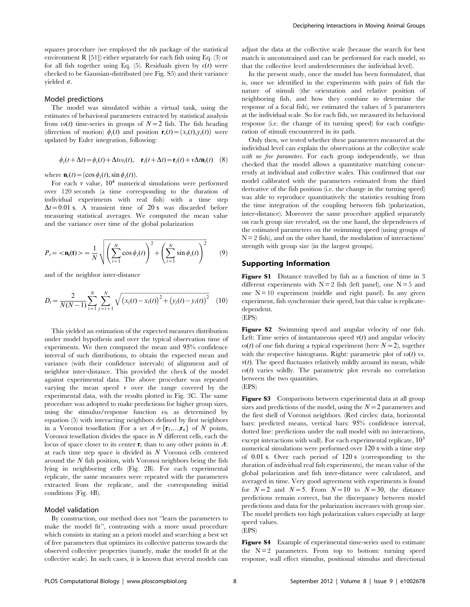squares procedure (we employed the nls package of the statistical environment R [51]) either separately for each fish using Eq. (3) or for all fish together using Eq. (5). Residuals given by  $\epsilon(t)$  were checked to be Gaussian-distributed (see Fig. S5) and their variance vielded  $\sigma$ .

## Model predictions

The model was simulated within a virtual tank, using the estimates of behavioral parameters extracted by statistical analysis from  $\omega(t)$  time-series in groups of  $N=2$  fish. The fish heading (direction of motion)  $\phi_i(t)$  and position  $\mathbf{r}_i(t) = (x_i(t), y_i(t))$  were updated by Euler integration, following:

$$
\phi_i(t + \Delta t) = \phi_i(t) + \Delta t \omega_i(t), \quad \mathbf{r}_i(t + \Delta t) = \mathbf{r}_i(t) + \nu \Delta t \mathbf{n}_i(t) \quad (8)
$$

where  $\mathbf{n}_i(t) = (\cos \phi_i(t), \sin \phi_i(t))$ .

For each  $v$  value,  $10<sup>4</sup>$  numerical simulations were performed over 120 seconds (a time corresponding to the duration of individual experiments with real fish) with a time step  $\Delta t = 0.01$  s. A transient time of 20 s was discarded before measuring statistical averages. We computed the mean value and the variance over time of the global polarization

$$
P_{t} = \langle \mathbf{n}_{i}(t) \rangle = \frac{1}{N} \sqrt{\left(\sum_{i=1}^{N} \cos \phi_{i}(t)\right)^{2} + \left(\sum_{i=1}^{N} \sin \phi_{i}(t)\right)^{2}} \qquad (9)
$$

and of the neighbor inter-distance

$$
D_{t} = \frac{2}{N(N-1)} \sum_{i=1}^{N} \sum_{j=i+1}^{N} \sqrt{(x_{j}(t) - x_{i}(t))^{2} + (y_{j}(t) - y_{i}(t))^{2}}
$$
 (10)

This yielded an estimation of the expected measures distribution under model hypothesis and over the typical observation time of experiments. We then computed the mean and 95% confidence interval of such distributions, to obtain the expected mean and variance (with their confidence intervals) of alignment and of neighbor inter-distance. This provided the check of the model against experimental data. The above procedure was repeated varying the mean speed  $\nu$  over the range covered by the experimental data, with the results plotted in Fig. 3C. The same procedure was adopted to make predictions for higher group sizes, using the stimulus/response function  $\omega_i$  as determined by equation (5) with interacting neighbors defined by first neighbors in a Voronoi tessellation (For a set  $A = {r_1,...,r_n}$  of N points, Voronoi tessellation divides the space in  $N$  different cells, each the locus of space closer to its center  $\mathbf{r}_i$  than to any other points in A: at each time step space is divided in  $N$  Voronoi cells centered around the  $N$  fish position, with Voronoi neighbors being the fish lying in neighboring cells (Fig. 2B). For each experimental replicate, the same measures were repeated with the parameters extracted from the replicate, and the corresponding initial conditions (Fig. 4B).

## Model validation

By construction, our method does not ''learn the parameters to make the model fit'', contrasting with a more usual procedure which consists in stating an a priori model and searching a best set of free parameters that optimizes its collective patterns towards the observed collective properties (namely, make the model fit at the collective scale). In such cases, it is known that several models can adjust the data at the collective scale (because the search for best match is unconstrained and can be performed for each model, so that the collective level underdetermines the individual level).

In the present study, once the model has been formulated, that is, once we identified in the experiments with pairs of fish the nature of stimuli (the orientation and relative position of neighboring fish, and how they combine to determine the response of a focal fish), we estimated the values of 5 parameters at the individual scale. So for each fish, we measured its behavioral response (i.e. the change of its turning speed) for each configuration of stimuli encountered in its path.

Only then, we tested whether these parameters measured at the individual level can explain the observations at the collective scale with no free parameters. For each group independently, we thus checked that the model allows a quantitative matching concurrently at individual and collective scales. This confirmed that our model calibrated with the parameters estimated from the third derivative of the fish position (i.e. the change in the turning speed) was able to reproduce quantitatively the statistics resulting from the time integration of the coupling between fish (polarization, inter-distance). Moreover the same procedure applied separately on each group size revealed, on the one hand, the dependences of the estimated parameters on the swimming speed (using groups of  $N = 2$  fish), and on the other hand, the modulation of interactions' strength with group size (in the largest groups).

## Supporting Information

Figure S1 Distance travelled by fish as a function of time in 3 different experiments with  $N = 2$  fish (left panel), one  $N = 5$  and one  $N = 10$  experiment (middle and right panel). In any given experiment, fish synchronize their speed, but this value is replicatedependent.

(EPS)

Figure S2 Swimming speed and angular velocity of one fish. Left: Time series of instantaneous speed  $v(t)$  and angular velocity  $\omega(t)$  of one fish during a typical experiment (here  $N=2$ ), together with the respective histograms. Right: parametric plot of  $\omega(t)$  vs.  $v(t)$ . The speed fluctuates relatively mildly around its mean, while  $\omega(t)$  varies wildly. The parametric plot reveals no correlation between the two quantities. (EPS)

Figure S3 Comparisons between experimental data at all group sizes and predictions of the model, using the  $N=2$  parameters and the first shell of Voronoi neighbors. (Red circles: data, horizontal bars: predicted means, vertical bars: 95% confidence interval, dotted line: predictions under the null model with no interactions, except interactions with wall). For each experimental replicate,  $10^3$ numerical simulations were performed over 120 s with a time step of 0:01 s. Over each period of 120 s (corresponding to the duration of individual real fish experiments), the mean value of the global polarization and fish inter-distance were calculated, and averaged in time. Very good agreement with experiments is found for  $N=2$  and  $N=5$ . From  $N=10$  to  $N=30$ , the distance predictions remain correct, but the discrepancy between model predictions and data for the polarization increases with group size. The model predicts too high polarization values especially at large speed values.



Figure S4 Example of experimental time-series used to estimate the  $N = 2$  parameters. From top to bottom: turning speed response, wall effect stimulus, positional stimulus and directional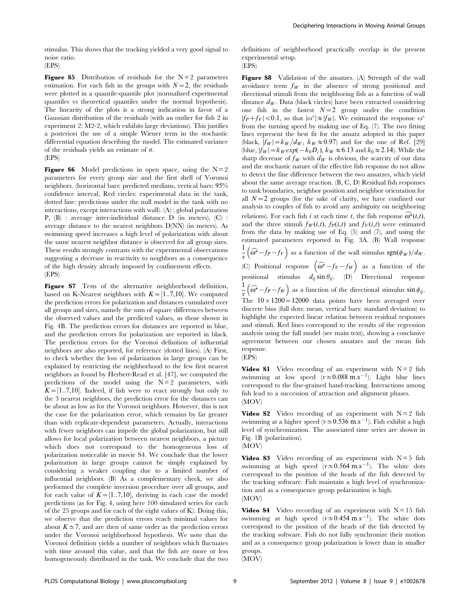stimulus. This shows that the tracking yielded a very good signal to noise ratio. (EPS)

**Figure S5** Distribution of residuals for the  $N = 2$  parameters estimation. For each fish in the groups with  $N=2$ , the residuals were plotted in a quantile-quantile plot (normalized experimental quantiles vs theoretical quantiles under the normal hypothesis). The linearity of the plots is a strong indication in favor of a Gaussian distribution of the residuals (with an outlier for fish 2 in experiment 2: M2-2, which exhibits large deviations). This justifies a posteriori the use of a simple Wiener term in the stochastic differential equation describing the model. The estimated variance of the residuals yields an estimate of  $\sigma$ . (EPS)

**Figure S6** Model predictions in open space, using the  $N = 2$ parameters for every group size and the first shell of Voronoi neighbors. (horizontal bars: predicted medians, vertical bars: 95% confidence interval, Red circles: experimental data in the tank, dotted line: predictions under the null model in the tank with no interactions, except interactions with wall). (A) : global polarization P, (B) : average inter-individual distance D (in meters), (C) : average distance to the nearest neighbors D(NN) (in meters). As swimming speed increases a high level of polarization with about the same nearest neighbor distance is observed for all group sizes. These results strongly contrasts with the experimental observations suggesting a decrease in reactivity to neighbors as a consequence of the high density already imposed by confinement effects. (EPS)

Figure S7 Tests of the alternative neighborhood definition, based on K-Nearest neighbors with  $K=[1..7,10]$ . We computed the prediction errors for polarization and distances cumulated over all groups and sizes, namely the sum of square differences between the observed values and the predicted values, as those shown in Fig. 4B. The prediction errors for distances are reported in blue, and the prediction errors for polarization are reported in black. The prediction errors for the Voronoi definition of influential neighbors are also reported, for reference (dotted lines). (A) First, to check whether the loss of polarization in large groups can be explained by restricting the neighborhood to the few first nearest neighbors as found by Herbert-Read et al. [47], we computed the predictions of the model using the  $N = 2$  parameters, with  $K=[1..7,10]$ . Indeed, if fish were to react strongly but only to the 3 nearest neighbors, the prediction error for the distances can be about as low as for the Voronoi neighbors. However, this is not the case for the polarization error, which remains by far greater than with replicate-dependent parameters. Actually, interactions with fewer neighbors can impede the global polarization, but still allows for local polarization between nearest neighbors, a picture which does not correspond to the homogeneous loss of polarization noticeable in movie S4. We conclude that the lower polarization in large groups cannot be simply explained by considering a weaker coupling due to a limited number of influential neighbors. (B) As a complementary check, we also performed the complete inversion procedure over all groups, and for each value of  $K=[1..7,10]$ , deriving in each case the model predictions (as for Fig. 4, using here 100 simulated series for each of the 25 groups and for each of the eight values of K). Doing this, we observe that the prediction errors reach minimal values for about  $K \simeq 7$ , and are then of same order as the prediction errors under the Voronoi neighborhood hypothesis. We note that the Voronoi definition yields a number of neighbors which fluctuates with time around this value, and that the fish are more or less homogeneously distributed in the tank. We conclude that the two definitions of neighborhood practically overlap in the present experimental setup. (EPS)

Figure S8 Validation of the ansatzes. (A) Strength of the wall avoidance term  $f_W$  in the absence of strong positional and directional stimuli from the neighboring fish as a function of wall distance  $d_W$ . Data (black circles) have been extracted considering one fish in the fastest  $N=2$  group under the condition  $|f_P+f_V|<0.1$ , so that  $|\omega^*|\approx |f_W|$ . We estimated the response  $\omega^*$ from the turning speed by making use of Eq. (7). The two fitting lines represent the best fit for the ansatz adopted in this paper (black,  $|f_W| = k_W / d_W$ ,  $k_W \approx 0.97$ ) and for the one of Ref. [29] (blue,  $|f_W| = k_W exp(-k_0 D_c)$ ,  $k_W \approx 6.13$  and  $k_0 \approx 2.14$ ). While the sharp decrease of  $f_W$  with  $d_W$  is obvious, the scarcity of our data and the stochastic nature of the effective fish response do not allow to detect the fine difference between the two ansatzes, which yield about the same average reaction. (B, C, D) Residual fish responses to tank boundaries, neighbor position and neighbor orientation for all  $N=2$  groups (for the sake of clarity, we have confined our analysis to couples of fish to avoid any ambiguity on neighboring relations). For each fish i at each time t, the fish response  $\widehat{\omega^*(i,t)}$ , and the three stimuli  $f_W(i,t)$ ,  $f_P(i,t)$  and  $f_V(i,t)$  were estimated from the data by making use of Eq.  $(5)$  and  $(7)$ , and using the estimated parameters reported in Fig. 3A. (B) Wall response  $\frac{1}{v}$   $\left(\widehat{\omega^*} - f_P - f_V\right)$  as a function of the wall stimulus  $sgn(\phi_W)/dw$ . (C) Positional response  $(\widehat{\omega^*} - f_V - f_W)$  as a function of the positional stimulus  $d_{ij} \sin \theta_{ij}$ . (D) Directional response  $\frac{1}{v}$   $(\widehat{\omega^*} - f_P - f_W)$  as a function of the directional stimulus  $\sin \phi_{ij}$ . The  $10 \times 1200 = 12000$  data points have been averaged over discrete bins (full dots: mean, vertical bars: standard deviation) to highlight the expected linear relation between residual responses and stimuli. Red lines correspond to the results of the regression analysis using the full model (see main text), showing a conclusive agreement between our chosen ansatzes and the mean fish response.

(EPS)

**Video S1** Video recording of an experiment with  $N = 2$  fish swimming at low speed  $(v \approx 0.088 \text{ m.s}^{-1})$ . Light blue lines correspond to the fine-grained hand-tracking. Interactions among fish lead to a succession of attraction and alignment phases. (MOV)

**Video S2** Video recording of an experiment with  $N = 2$  fish swimming at a higher speed ( $v \approx 0.536$  m.s<sup>{-1}</sup>). Fish exhibit a high level of synchronization. The associated time series are shown in Fig. 1B (polarization).

(MOV)

**Video S3** Video recording of an experiment with  $N = 5$  fish swimming at high speed ( $v \approx 0.564$  m.s<sup>-1</sup>). The white dots correspond to the position of the heads of the fish detected by the tracking software. Fish maintain a high level of synchronization and as a consequence group polarization is high. (MOV)

**Video S4** Video recording of an experiment with  $N = 15$  fish swimming at high speed  $(v \approx 0.454 \text{ m.s}^{-1})$ . The white dots correspond to the position of the heads of the fish detected by the tracking software. Fish do not fully synchronize their motion and as a consequence group polarization is lower than in smaller groups.

(MOV)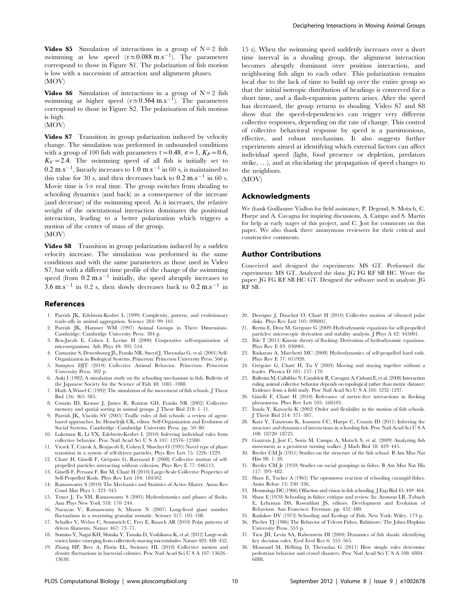**Video S5** Simulation of interactions in a group of  $N = 2$  fish swimming at low speed  $(v \approx 0.088 \text{ m.s}^{-1})$ . The parameters correspond to those in Figure S1. The polarization of fish motion is low with a succession of attraction and alignment phases. (MOV)

**Video S6** Simulation of interactions in a group of  $N = 2$  fish swimming at higher speed  $(v \approx 0.564 \text{ m.s}^{-1})$ . The parameters correspond to those in Figure S2. The polarization of fish motion is high.

(MOV)

Video S7 Transition in group polarization induced by velocity change. The simulation was performed in unbounded conditions with a group of 100 fish with parameters  $\tau=0.48$ ,  $\sigma=1$ ,  $K_P=0.6$ ,  $K_V=2.4$ . The swimming speed of all fish is initially set to  $0.2 \text{ m.s}^{-1}$ , linearly increases to 1.0 m.s<sup>{-1}</sup> in 60 s, is maintained to this value for 30 s, and then decreases back to  $0.2 \text{ m.s}^{-1}$  in 60 s. Movie time is  $5\times$  real time. The group switches from shoaling to schooling dynamics (and back) as a consequence of the increase (and decrease) of the swimming speed. As it increases, the relative weight of the orientational interaction dominates the positional interaction, leading to a better polarization which triggers a motion of the center of mass of the group. (MOV)

Video S8 Transition in group polarization induced by a sudden velocity increase. The simulation was performed in the same conditions and with the same parameters as those used in Video S7, but with a different time profile of the change of the swimming speed (from  $0.2 \text{ m.s}^{-1}$  initially, the speed abruptly increases to  $3.6 \text{ m.s}^{-1}$  in 0.2 s, then slowly decreases back to 0.2 m.s<sup>{-1}</sup> in

#### References

- 1. Parrish JK, Edelstein-Keshet L (1999) Complexity, pattern, and evolutionary trade-offs in animal aggregation. Science 284: 99–101.
- Parrish JK, Hamner WM (1997) Animal Groups in Three Dimensions. Cambridge: Cambridge University Press. 384 p.
- 3. Ben-Jacob E, Cohen I, Levine H (2000) Cooperative self-organization of microorganisms. Adv Phys 49: 395–554.
- 4. Camazine S, Deneubourg JL, Franks NR, Sneyd J, Theraulaz G, et al. (2001) Self-Organization in Biological Systems. Princeton: Princeton University Press. 560 p.
- 5. Sumpter DJT (2010) Collective Animal Behavior. Princeton: Princeton University Press. 302 p.
- 6. Aoki I (1982) A simulation study on the schooling mechanism in fish. Bulletin of the Japanese Society for the Science of Fish 48: 1081–1088.
- 7. Huth A,Wissel C (1992) The simulation of the movement of fish schools. J Theor Biol 156: 365–385.
- 8. Couzin ID, Krause J, James R, Ruxton GD, Franks NR (2002) Collective memory and spatial sorting in animal groups. J Theor Biol 218: 1–11.
- 9. Parrish JK, Viscido SV (2005) Traffic rules of fish schools: a review of agentbased approaches. In: Hemelrijk CK, editor. Self-Organization and Evolution of Social Systems. Cambridge: Cambridge University Press. pp. 50–80.
- 10. Lukeman R, Li YX, Edelstein-Keshet L (2010) Inferring individual rules from collective behavior. Proc Natl Acad Sci U S A 107: 12576–12580.
- 11. Vicsek T, Czirok A, Benjacob E, Cohen I, Shochet O (1995) Novel type of phase transition in a system of self-driven particles. Phys Rev Lett 75: 1226–1229.
- 12. Chaté H, Ginelli F, Grégoire G, Raynaud F (2008) Collective motion of selfpropelled particles interacting without cohesion. Phys Rev E 77: 046113.
- 13. Ginelli F, Peruani F, Bär M, Chaté H (2010) Large-Scale Collective Properties of Self-Propelled Rods. Phys Rev Lett 104: 184502.
- 14. Ramaswamy S (2010) The Mechanics and Statistics of Active Matter. Annu Rev Cond Mat Phys 1: 323–345.
- 15. Toner J, Tu YH, Ramaswamy S (2005) Hydrodynamics and phases of flocks. Ann Phys New York 318: 170–244.
- 16. Narayan V, Ramaswamy S, Menon N (2007) Long-lived giant number fluctuations in a swarming granular nematic. Science 317: 105–108.
- 17. Schaller V, Weber C, Semmrich C, Frey E, Bausch AR (2010) Polar patterns of driven filaments. Nature 467: 73–77.
- 18. Sumino Y, Nagai KH, Shitaka Y, Tanaka D, Yoshikawa K, et al. (2012) Large-scale vortex lattice emerging from collectively moving microtubules. Nature 483: 448–452.
- 19. Zhang HP, Beer A, Florin EL, Swinney HL (2010) Collective motion and density fluctuations in bacterial colonies. Proc Natl Acad Sci U S A 107: 13626– 13630.

15 s). When the swimming speed suddenly increases over a short time interval in a shoaling group, the alignment interaction becomes abruptly dominant over position interaction, and neighboring fish align to each other. This polarization remains local due to the lack of time to build up over the entire group so that the initial isotropic distribution of headings is conserved for a short time, and a flash-expansion pattern arises. After the speed has decreased, the group returns to shoaling. Video S7 and S8 show that the speed-dependencies can trigger very different collective responses, depending on the rate of change. This control of collective behavioral response by speed is a parsimonious, effective, and robust mechanism. It also suggests further experiments aimed at identifying which external factors can affect individual speed (light, food presence or depletion, predators strike, …), and at elucidating the propagation of speed changes to the neighbors.

(MOV)

## Acknowledgments

We thank Guillaume Viallon for field assistance, P. Degond, S. Motsch, C. Huepe and A. Cavagna for inspiring discussions, A. Campo and S. Martin for help at early stages of this project, and C. Jost for comments on this paper. We also thank three anonymous reviewers for their critical and constructive comments.

## Author Contributions

Conceived and designed the experiments: MS GT. Performed the experiments: MS GT. Analyzed the data: JG FG RF SB HC. Wrote the paper: JG FG RF SB HC GT. Designed the software used in analysis: JG RF SB.

- 20. Deseigne J, Dauchot O, Chaté H (2010) Collective motion of vibrated polar disks. Phys Rev Lett 105: 098001.
- 21. Bertin E, Droz M, Grégoire G (2009) Hydrodynamic equations for self-propelled particles: microscopic derivation and stability analysis. J Phys A 42: 445001.
- 22. Ihle T (2011) Kinetic theory of flocking: Derivation of hydrodynamic equations. Phys Rev E 83: 030901.
- 23. Baskaran A, Marchetti MC (2008) Hydrodynamics of self-propelled hard rods. Phys Rev E 77: 011920.
- 24. Grégoire G, Chaté H, Tu Y (2003) Moving and staying together without a leader. Physica D 181: 157–170.
- 25. Ballerini M, Calbibbo N, Candeleir R, Cavagna A, Cisbani E, et al. (2008) Interaction ruling animal collective behavior depends on topological rather than metric distance: Evidence from a field study. Proc Natl Acad Sci U S A 105: 1232–1237.
- 26. Ginelli F, Chaté H (2010) Relevance of metric-free interactions in flocking phenomena. Phys Rev Lett 105: 168103.
- 27. Inada Y, Kawachi K (2002) Order and flexibility in the motion of fish schools. J Theor Biol 214: 371–387.
- 28. Katz Y, Tunstrom K, Ioannou CC, Huepe C, Couzin ID (2011) Inferring the structure and dynamics of interactions in schooling fish. Proc Natl Acad Sci U S A 108: 18720–18725.
- 29. Gautrais J, Jost C, Soria M, Campo A, Motsch S, et al. (2009) Analyzing fish movement as a persistent turning walker. J Math Biol 58: 429–445.
- 30. Breder CM Jr (1951) Studies on the structure of the fish school. B Am Mus Nat Hist 98: 1–28.
- 31. Breder CM Jr (1959) Studies on social groupings in fishes. B Am Mus Nat His 117: 393–482.
- 32. Shaw E, Tucker A (1965) The optomotor reaction of schooling carangid fishes. Anim Behav 13: 330–336.
- 33. Hemmings DC (1966) Olfaction and vision in fish schooling. J Exp Biol 45: 449–464. 34. Shaw E (1970) Schooling in fishes: critique and review. In: Aronson LR, Tobach
- E, Lehrman DS, Rosenblatt JS, editors. Development and Evolution of Behaviour. San Francisco: Freeman. pp. 452–480.
- 35. Radakov DV (1973) Schooling and Ecology of Fish. New York: Wiley. 173 p.
- 36. Pitcher TJ (1986) The Behavior of Teleost Fishes. Baltimore: The Johns Hopkins University Press. 553 p.
- 37. Tien JH, Levin SA, Rubenstein DI (2004) Dynamics of fish shoals: identifying key decision rules. Evol Ecol Res 6: 555–565.
- 38. Moussaid M, Helbing D, Theraulaz G (2011) How simple rules determine pedestrian behavior and crowd disasters. Proc Natl Acad Sci U S A 108: 6884– 6888.